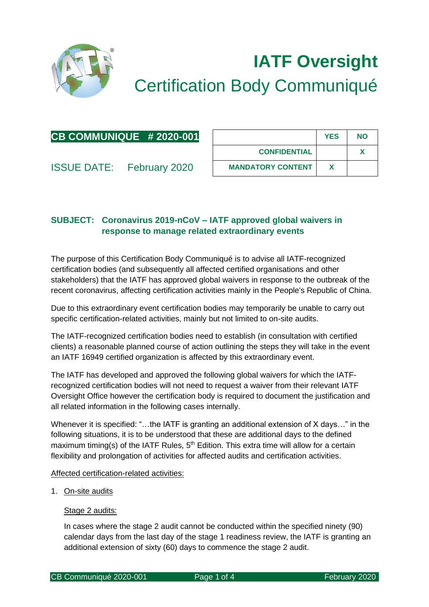

# **IATF Oversight** Certification Body Communiqué

| CB COMMUNIQUE #2020-001 |  |
|-------------------------|--|
|-------------------------|--|

| <b>ISSUE DATE:</b> | February 2020 |
|--------------------|---------------|
|--------------------|---------------|

|                          | <b>YES</b> | <b>NO</b> |
|--------------------------|------------|-----------|
| <b>CONFIDENTIAL</b>      |            |           |
| <b>MANDATORY CONTENT</b> |            |           |

## **SUBJECT: Coronavirus 2019-nCoV – IATF approved global waivers in response to manage related extraordinary events**

The purpose of this Certification Body Communiqué is to advise all IATF-recognized certification bodies (and subsequently all affected certified organisations and other stakeholders) that the IATF has approved global waivers in response to the outbreak of the recent coronavirus, affecting certification activities mainly in the People's Republic of China.

Due to this extraordinary event certification bodies may temporarily be unable to carry out specific certification-related activities, mainly but not limited to on-site audits.

The IATF-recognized certification bodies need to establish (in consultation with certified clients) a reasonable planned course of action outlining the steps they will take in the event an IATF 16949 certified organization is affected by this extraordinary event.

The IATF has developed and approved the following global waivers for which the IATFrecognized certification bodies will not need to request a waiver from their relevant IATF Oversight Office however the certification body is required to document the justification and all related information in the following cases internally.

Whenever it is specified: "...the IATF is granting an additional extension of X days..." in the following situations, it is to be understood that these are additional days to the defined maximum timing(s) of the IATF Rules,  $5<sup>th</sup>$  Edition. This extra time will allow for a certain flexibility and prolongation of activities for affected audits and certification activities.

## Affected certification-related activities:

1. On-site audits

## Stage 2 audits:

In cases where the stage 2 audit cannot be conducted within the specified ninety (90) calendar days from the last day of the stage 1 readiness review, the IATF is granting an additional extension of sixty (60) days to commence the stage 2 audit.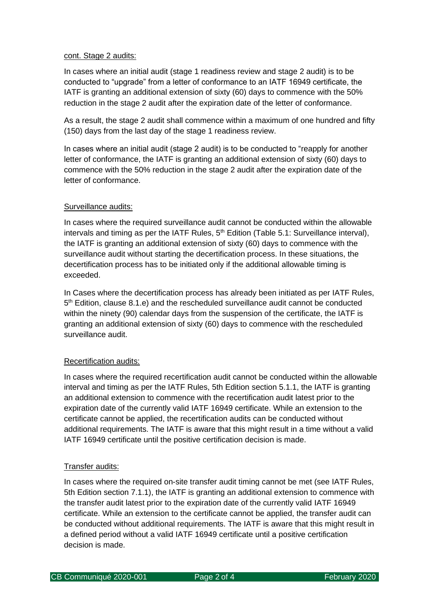## cont. Stage 2 audits:

In cases where an initial audit (stage 1 readiness review and stage 2 audit) is to be conducted to "upgrade" from a letter of conformance to an IATF 16949 certificate, the IATF is granting an additional extension of sixty (60) days to commence with the 50% reduction in the stage 2 audit after the expiration date of the letter of conformance.

As a result, the stage 2 audit shall commence within a maximum of one hundred and fifty (150) days from the last day of the stage 1 readiness review.

In cases where an initial audit (stage 2 audit) is to be conducted to "reapply for another letter of conformance, the IATF is granting an additional extension of sixty (60) days to commence with the 50% reduction in the stage 2 audit after the expiration date of the letter of conformance.

## Surveillance audits:

In cases where the required surveillance audit cannot be conducted within the allowable intervals and timing as per the IATF Rules,  $5<sup>th</sup>$  Edition (Table 5.1: Surveillance interval), the IATF is granting an additional extension of sixty (60) days to commence with the surveillance audit without starting the decertification process. In these situations, the decertification process has to be initiated only if the additional allowable timing is exceeded.

In Cases where the decertification process has already been initiated as per IATF Rules, 5<sup>th</sup> Edition, clause 8.1.e) and the rescheduled surveillance audit cannot be conducted within the ninety (90) calendar days from the suspension of the certificate, the IATF is granting an additional extension of sixty (60) days to commence with the rescheduled surveillance audit.

## Recertification audits:

In cases where the required recertification audit cannot be conducted within the allowable interval and timing as per the IATF Rules, 5th Edition section 5.1.1, the IATF is granting an additional extension to commence with the recertification audit latest prior to the expiration date of the currently valid IATF 16949 certificate. While an extension to the certificate cannot be applied, the recertification audits can be conducted without additional requirements. The IATF is aware that this might result in a time without a valid IATF 16949 certificate until the positive certification decision is made.

#### Transfer audits:

In cases where the required on-site transfer audit timing cannot be met (see IATF Rules, 5th Edition section 7.1.1), the IATF is granting an additional extension to commence with the transfer audit latest prior to the expiration date of the currently valid IATF 16949 certificate. While an extension to the certificate cannot be applied, the transfer audit can be conducted without additional requirements. The IATF is aware that this might result in a defined period without a valid IATF 16949 certificate until a positive certification decision is made.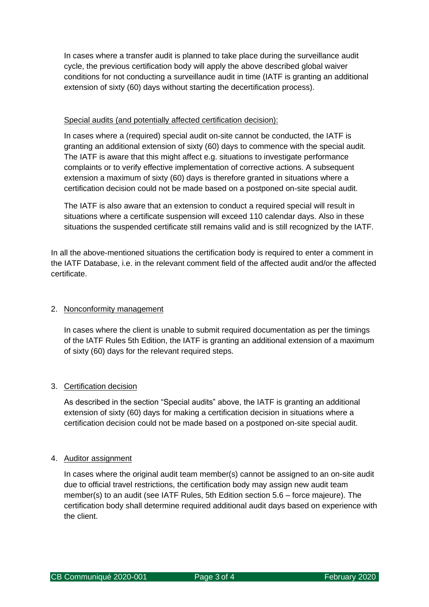In cases where a transfer audit is planned to take place during the surveillance audit cycle, the previous certification body will apply the above described global waiver conditions for not conducting a surveillance audit in time (IATF is granting an additional extension of sixty (60) days without starting the decertification process).

## Special audits (and potentially affected certification decision):

In cases where a (required) special audit on-site cannot be conducted, the IATF is granting an additional extension of sixty (60) days to commence with the special audit. The IATF is aware that this might affect e.g. situations to investigate performance complaints or to verify effective implementation of corrective actions. A subsequent extension a maximum of sixty (60) days is therefore granted in situations where a certification decision could not be made based on a postponed on-site special audit.

The IATF is also aware that an extension to conduct a required special will result in situations where a certificate suspension will exceed 110 calendar days. Also in these situations the suspended certificate still remains valid and is still recognized by the IATF.

In all the above-mentioned situations the certification body is required to enter a comment in the IATF Database, i.e. in the relevant comment field of the affected audit and/or the affected certificate.

## 2. Nonconformity management

In cases where the client is unable to submit required documentation as per the timings of the IATF Rules 5th Edition, the IATF is granting an additional extension of a maximum of sixty (60) days for the relevant required steps.

## 3. Certification decision

As described in the section "Special audits" above, the IATF is granting an additional extension of sixty (60) days for making a certification decision in situations where a certification decision could not be made based on a postponed on-site special audit.

## 4. Auditor assignment

In cases where the original audit team member(s) cannot be assigned to an on-site audit due to official travel restrictions, the certification body may assign new audit team member(s) to an audit (see IATF Rules, 5th Edition section 5.6 – force majeure). The certification body shall determine required additional audit days based on experience with the client.